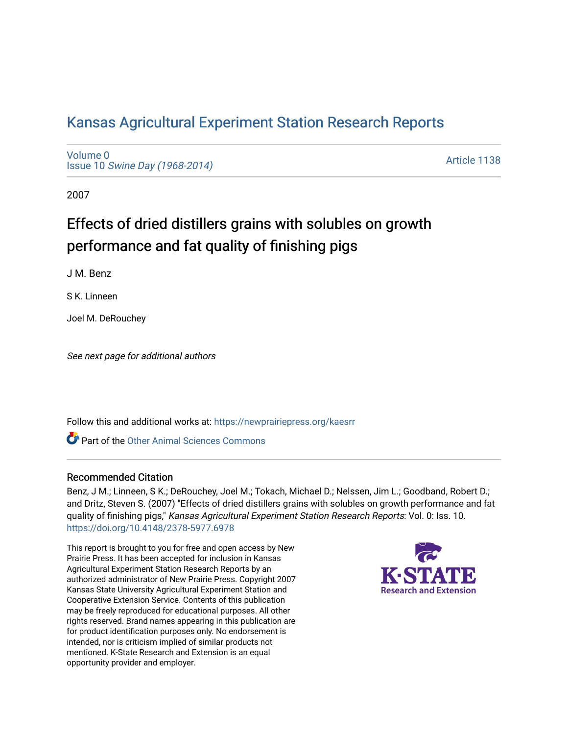# [Kansas Agricultural Experiment Station Research Reports](https://newprairiepress.org/kaesrr)

[Volume 0](https://newprairiepress.org/kaesrr/vol0) Issue 10 [Swine Day \(1968-2014\)](https://newprairiepress.org/kaesrr/vol0/iss10)

[Article 1138](https://newprairiepress.org/kaesrr/vol0/iss10/1138) 

2007

# Effects of dried distillers grains with solubles on growth performance and fat quality of finishing pigs

J M. Benz

S K. Linneen

Joel M. DeRouchey

See next page for additional authors

Follow this and additional works at: [https://newprairiepress.org/kaesrr](https://newprairiepress.org/kaesrr?utm_source=newprairiepress.org%2Fkaesrr%2Fvol0%2Fiss10%2F1138&utm_medium=PDF&utm_campaign=PDFCoverPages) 

Part of the [Other Animal Sciences Commons](http://network.bepress.com/hgg/discipline/82?utm_source=newprairiepress.org%2Fkaesrr%2Fvol0%2Fiss10%2F1138&utm_medium=PDF&utm_campaign=PDFCoverPages)

#### Recommended Citation

Benz, J M.; Linneen, S K.; DeRouchey, Joel M.; Tokach, Michael D.; Nelssen, Jim L.; Goodband, Robert D.; and Dritz, Steven S. (2007) "Effects of dried distillers grains with solubles on growth performance and fat quality of finishing pigs," Kansas Agricultural Experiment Station Research Reports: Vol. 0: Iss. 10. <https://doi.org/10.4148/2378-5977.6978>

This report is brought to you for free and open access by New Prairie Press. It has been accepted for inclusion in Kansas Agricultural Experiment Station Research Reports by an authorized administrator of New Prairie Press. Copyright 2007 Kansas State University Agricultural Experiment Station and Cooperative Extension Service. Contents of this publication may be freely reproduced for educational purposes. All other rights reserved. Brand names appearing in this publication are for product identification purposes only. No endorsement is intended, nor is criticism implied of similar products not mentioned. K-State Research and Extension is an equal opportunity provider and employer.

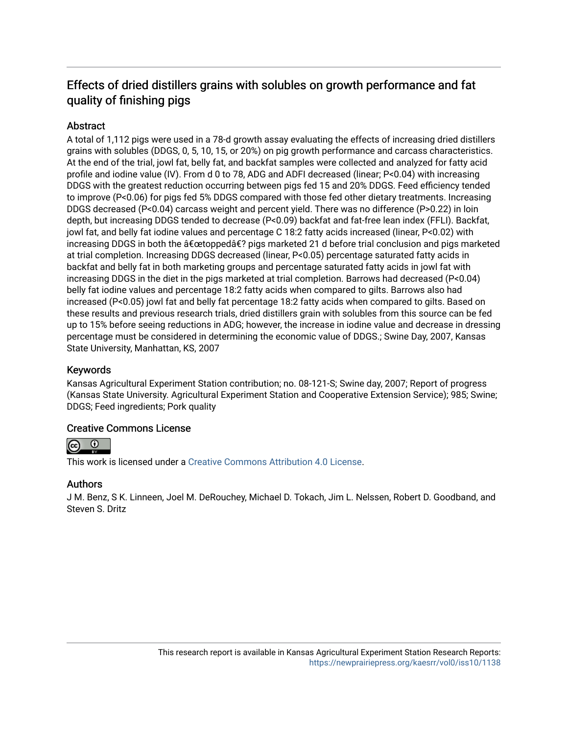# Effects of dried distillers grains with solubles on growth performance and fat quality of finishing pigs

## **Abstract**

A total of 1,112 pigs were used in a 78-d growth assay evaluating the effects of increasing dried distillers grains with solubles (DDGS, 0, 5, 10, 15, or 20%) on pig growth performance and carcass characteristics. At the end of the trial, jowl fat, belly fat, and backfat samples were collected and analyzed for fatty acid profile and iodine value (IV). From d 0 to 78, ADG and ADFI decreased (linear; P<0.04) with increasing DDGS with the greatest reduction occurring between pigs fed 15 and 20% DDGS. Feed efficiency tended to improve (P<0.06) for pigs fed 5% DDGS compared with those fed other dietary treatments. Increasing DDGS decreased (P<0.04) carcass weight and percent yield. There was no difference (P>0.22) in loin depth, but increasing DDGS tended to decrease (P<0.09) backfat and fat-free lean index (FFLI). Backfat, jowl fat, and belly fat iodine values and percentage C 18:2 fatty acids increased (linear, P<0.02) with increasing DDGS in both the  $\hat{\mathsf{a}} \in \mathsf{c}$ etopped $\hat{\mathsf{a}} \in ?$  pigs marketed 21 d before trial conclusion and pigs marketed at trial completion. Increasing DDGS decreased (linear, P<0.05) percentage saturated fatty acids in backfat and belly fat in both marketing groups and percentage saturated fatty acids in jowl fat with increasing DDGS in the diet in the pigs marketed at trial completion. Barrows had decreased (P<0.04) belly fat iodine values and percentage 18:2 fatty acids when compared to gilts. Barrows also had increased (P<0.05) jowl fat and belly fat percentage 18:2 fatty acids when compared to gilts. Based on these results and previous research trials, dried distillers grain with solubles from this source can be fed up to 15% before seeing reductions in ADG; however, the increase in iodine value and decrease in dressing percentage must be considered in determining the economic value of DDGS.; Swine Day, 2007, Kansas State University, Manhattan, KS, 2007

## Keywords

Kansas Agricultural Experiment Station contribution; no. 08-121-S; Swine day, 2007; Report of progress (Kansas State University. Agricultural Experiment Station and Cooperative Extension Service); 985; Swine; DDGS; Feed ingredients; Pork quality

### Creative Commons License



This work is licensed under a [Creative Commons Attribution 4.0 License](https://creativecommons.org/licenses/by/4.0/).

### Authors

J M. Benz, S K. Linneen, Joel M. DeRouchey, Michael D. Tokach, Jim L. Nelssen, Robert D. Goodband, and Steven S. Dritz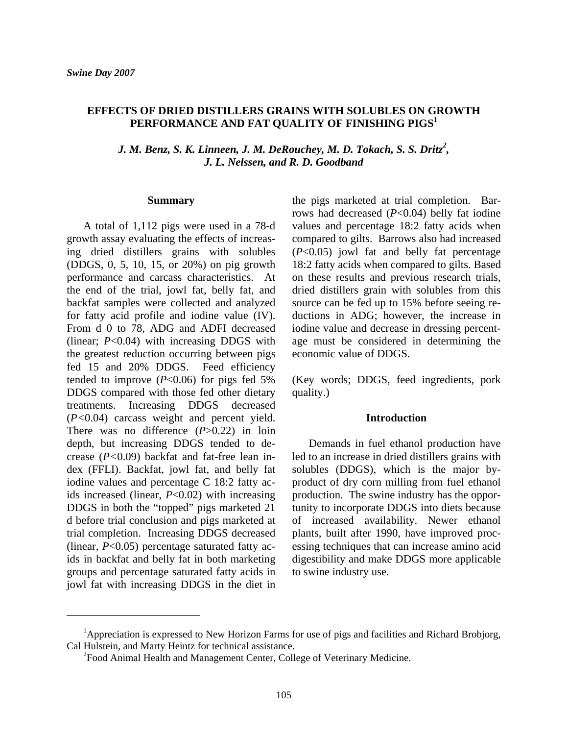#### **EFFECTS OF DRIED DISTILLERS GRAINS WITH SOLUBLES ON GROWTH**  PERFORMANCE AND FAT QUALITY OF FINISHING PIGS<sup>1</sup>

*<sup>2</sup> J. M. Benz, S. K. Linneen, J. M. DeRouchey, M. D. Tokach, S. S. Dritz , J. L. Nelssen, and R. D. Goodband* 

#### **Summary**

A total of 1,112 pigs were used in a 78-d growth assay evaluating the effects of increasing dried distillers grains with solubles (DDGS, 0, 5, 10, 15, or 20%) on pig growth performance and carcass characteristics. At the end of the trial, jowl fat, belly fat, and backfat samples were collected and analyzed for fatty acid profile and iodine value (IV). From d 0 to 78, ADG and ADFI decreased (linear; *P*<0.04) with increasing DDGS with the greatest reduction occurring between pigs fed 15 and 20% DDGS. Feed efficiency tended to improve  $(P<0.06)$  for pigs fed 5% DDGS compared with those fed other dietary treatments. Increasing DDGS decreased (*P<*0.04) carcass weight and percent yield. There was no difference (*P*>0.22) in loin depth, but increasing DDGS tended to decrease (*P<*0.09) backfat and fat-free lean index (FFLI). Backfat, jowl fat, and belly fat iodine values and percentage C 18:2 fatty acids increased (linear, *P*<0.02) with increasing DDGS in both the "topped" pigs marketed 21 d before trial conclusion and pigs marketed at trial completion. Increasing DDGS decreased (linear, *P*<0.05) percentage saturated fatty acids in backfat and belly fat in both marketing groups and percentage saturated fatty acids in jowl fat with increasing DDGS in the diet in

the pigs marketed at trial completion. Barrows had decreased (*P*<0.04) belly fat iodine values and percentage 18:2 fatty acids when compared to gilts. Barrows also had increased (*P*<0.05) jowl fat and belly fat percentage 18:2 fatty acids when compared to gilts. Based on these results and previous research trials, dried distillers grain with solubles from this source can be fed up to 15% before seeing reductions in ADG; however, the increase in iodine value and decrease in dressing percentage must be considered in determining the economic value of DDGS.

(Key words; DDGS, feed ingredients, pork quality.)

#### **Introduction**

Demands in fuel ethanol production have led to an increase in dried distillers grains with solubles (DDGS), which is the major byproduct of dry corn milling from fuel ethanol production. The swine industry has the opportunity to incorporate DDGS into diets because of increased availability. Newer ethanol plants, built after 1990, have improved processing techniques that can increase amino acid digestibility and make DDGS more applicable to swine industry use.

<sup>&</sup>lt;sup>1</sup>Appreciation is expressed to New Horizon Farms for use of pigs and facilities and Richard Brobjorg, Cal Hulstein, and Marty Heintz for technical assistance.

<sup>&</sup>lt;sup>2</sup> Food Animal Health and Management Center, College of Veterinary Medicine.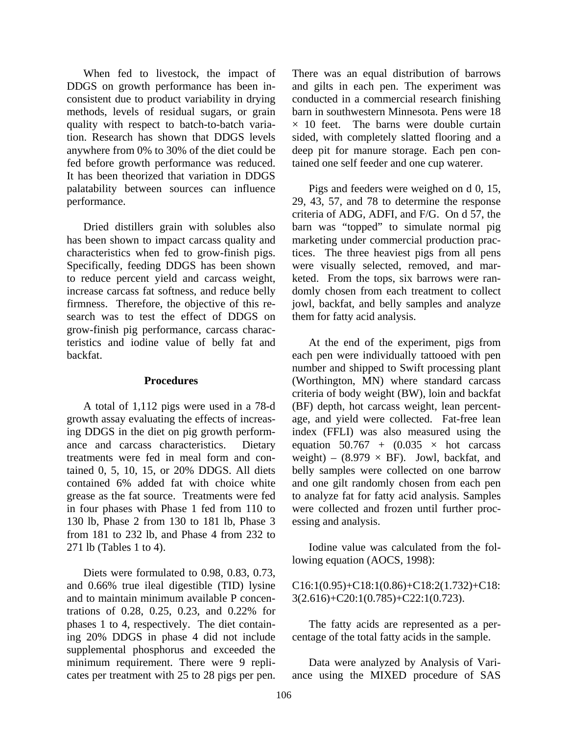When fed to livestock, the impact of DDGS on growth performance has been inconsistent due to product variability in drying methods, levels of residual sugars, or grain quality with respect to batch-to-batch variation. Research has shown that DDGS levels anywhere from 0% to 30% of the diet could be fed before growth performance was reduced. It has been theorized that variation in DDGS palatability between sources can influence performance.

Dried distillers grain with solubles also has been shown to impact carcass quality and characteristics when fed to grow-finish pigs. Specifically, feeding DDGS has been shown to reduce percent yield and carcass weight, increase carcass fat softness, and reduce belly firmness. Therefore, the objective of this research was to test the effect of DDGS on grow-finish pig performance, carcass characteristics and iodine value of belly fat and backfat.

#### **Procedures**

A total of 1,112 pigs were used in a 78-d growth assay evaluating the effects of increasing DDGS in the diet on pig growth performance and carcass characteristics. Dietary treatments were fed in meal form and contained 0, 5, 10, 15, or 20% DDGS. All diets contained 6% added fat with choice white grease as the fat source. Treatments were fed in four phases with Phase 1 fed from 110 to 130 lb, Phase 2 from 130 to 181 lb, Phase 3 from 181 to 232 lb, and Phase 4 from 232 to 271 lb (Tables 1 to 4).

Diets were formulated to 0.98, 0.83, 0.73, and 0.66% true ileal digestible (TID) lysine and to maintain minimum available P concentrations of 0.28, 0.25, 0.23, and 0.22% for phases 1 to 4, respectively. The diet containing 20% DDGS in phase 4 did not include supplemental phosphorus and exceeded the minimum requirement. There were 9 replicates per treatment with 25 to 28 pigs per pen. There was an equal distribution of barrows and gilts in each pen. The experiment was conducted in a commercial research finishing barn in southwestern Minnesota. Pens were 18  $\times$  10 feet. The barns were double curtain sided, with completely slatted flooring and a deep pit for manure storage. Each pen contained one self feeder and one cup waterer.

Pigs and feeders were weighed on d 0, 15, 29, 43, 57, and 78 to determine the response criteria of ADG, ADFI, and F/G. On d 57, the barn was "topped" to simulate normal pig marketing under commercial production practices. The three heaviest pigs from all pens were visually selected, removed, and marketed. From the tops, six barrows were randomly chosen from each treatment to collect jowl, backfat, and belly samples and analyze them for fatty acid analysis.

At the end of the experiment, pigs from each pen were individually tattooed with pen number and shipped to Swift processing plant (Worthington, MN) where standard carcass criteria of body weight (BW), loin and backfat (BF) depth, hot carcass weight, lean percentage, and yield were collected. Fat-free lean index (FFLI) was also measured using the equation  $50.767 + (0.035 \times hot)$ weight) – (8.979  $\times$  BF). Jowl, backfat, and belly samples were collected on one barrow and one gilt randomly chosen from each pen to analyze fat for fatty acid analysis. Samples were collected and frozen until further processing and analysis.

Iodine value was calculated from the following equation (AOCS, 1998):

C16:1(0.95)+C18:1(0.86)+C18:2(1.732)+C18: 3(2.616)+C20:1(0.785)+C22:1(0.723).

The fatty acids are represented as a percentage of the total fatty acids in the sample.

Data were analyzed by Analysis of Variance using the MIXED procedure of SAS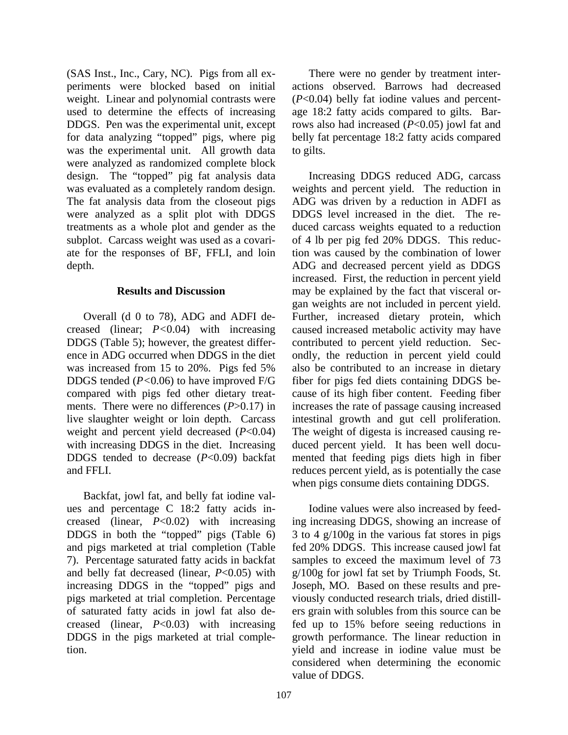(SAS Inst., Inc., Cary, NC). Pigs from all experiments were blocked based on initial weight. Linear and polynomial contrasts were used to determine the effects of increasing DDGS. Pen was the experimental unit, except for data analyzing "topped" pigs, where pig was the experimental unit. All growth data were analyzed as randomized complete block design. The "topped" pig fat analysis data was evaluated as a completely random design. The fat analysis data from the closeout pigs were analyzed as a split plot with DDGS treatments as a whole plot and gender as the subplot. Carcass weight was used as a covariate for the responses of BF, FFLI, and loin depth.

#### **Results and Discussion**

Overall (d 0 to 78), ADG and ADFI decreased (linear; *P<*0.04) with increasing DDGS (Table 5); however, the greatest difference in ADG occurred when DDGS in the diet was increased from 15 to 20%. Pigs fed 5% DDGS tended (*P<*0.06) to have improved F/G compared with pigs fed other dietary treatments. There were no differences (*P*>0.17) in live slaughter weight or loin depth. Carcass weight and percent yield decreased (*P*<0.04) with increasing DDGS in the diet. Increasing DDGS tended to decrease (*P*<0.09) backfat and FFLI.

Backfat, jowl fat, and belly fat iodine values and percentage C 18:2 fatty acids increased (linear, *P*<0.02) with increasing DDGS in both the "topped" pigs (Table 6) and pigs marketed at trial completion (Table 7). Percentage saturated fatty acids in backfat and belly fat decreased (linear, *P*<0.05) with increasing DDGS in the "topped" pigs and pigs marketed at trial completion. Percentage of saturated fatty acids in jowl fat also decreased (linear, *P*<0.03) with increasing DDGS in the pigs marketed at trial completion.

There were no gender by treatment interactions observed. Barrows had decreased (*P*<0.04) belly fat iodine values and percentage 18:2 fatty acids compared to gilts. Barrows also had increased (*P*<0.05) jowl fat and belly fat percentage 18:2 fatty acids compared to gilts.

Increasing DDGS reduced ADG, carcass weights and percent yield. The reduction in ADG was driven by a reduction in ADFI as DDGS level increased in the diet. The reduced carcass weights equated to a reduction of 4 lb per pig fed 20% DDGS. This reduction was caused by the combination of lower ADG and decreased percent yield as DDGS increased. First, the reduction in percent yield may be explained by the fact that visceral organ weights are not included in percent yield. Further, increased dietary protein, which caused increased metabolic activity may have contributed to percent yield reduction. Secondly, the reduction in percent yield could also be contributed to an increase in dietary fiber for pigs fed diets containing DDGS because of its high fiber content. Feeding fiber increases the rate of passage causing increased intestinal growth and gut cell proliferation. The weight of digesta is increased causing reduced percent yield. It has been well documented that feeding pigs diets high in fiber reduces percent yield, as is potentially the case when pigs consume diets containing DDGS.

Iodine values were also increased by feeding increasing DDGS, showing an increase of 3 to 4 g/100g in the various fat stores in pigs fed 20% DDGS. This increase caused jowl fat samples to exceed the maximum level of 73 g/100g for jowl fat set by Triumph Foods, St. Joseph, MO. Based on these results and previously conducted research trials, dried distillers grain with solubles from this source can be fed up to 15% before seeing reductions in growth performance. The linear reduction in yield and increase in iodine value must be considered when determining the economic value of DDGS.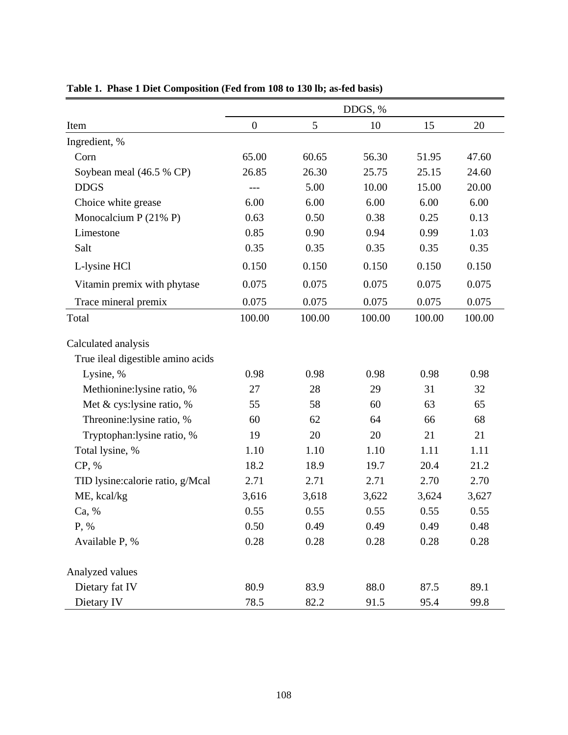|                                   | DDGS, %          |        |        |        |        |  |  |  |  |
|-----------------------------------|------------------|--------|--------|--------|--------|--|--|--|--|
| Item                              | $\boldsymbol{0}$ | 5      | 10     | 15     | 20     |  |  |  |  |
| Ingredient, %                     |                  |        |        |        |        |  |  |  |  |
| Corn                              | 65.00            | 60.65  | 56.30  | 51.95  | 47.60  |  |  |  |  |
| Soybean meal (46.5 % CP)          | 26.85            | 26.30  | 25.75  | 25.15  | 24.60  |  |  |  |  |
| <b>DDGS</b>                       | ---              | 5.00   | 10.00  | 15.00  | 20.00  |  |  |  |  |
| Choice white grease               | 6.00             | 6.00   | 6.00   | 6.00   | 6.00   |  |  |  |  |
| Monocalcium P $(21\% P)$          | 0.63             | 0.50   | 0.38   | 0.25   | 0.13   |  |  |  |  |
| Limestone                         | 0.85             | 0.90   | 0.94   | 0.99   | 1.03   |  |  |  |  |
| Salt                              | 0.35             | 0.35   | 0.35   | 0.35   | 0.35   |  |  |  |  |
| L-lysine HCl                      | 0.150            | 0.150  | 0.150  | 0.150  | 0.150  |  |  |  |  |
| Vitamin premix with phytase       | 0.075            | 0.075  | 0.075  | 0.075  | 0.075  |  |  |  |  |
| Trace mineral premix              | 0.075            | 0.075  | 0.075  | 0.075  | 0.075  |  |  |  |  |
| Total                             | 100.00           | 100.00 | 100.00 | 100.00 | 100.00 |  |  |  |  |
| Calculated analysis               |                  |        |        |        |        |  |  |  |  |
| True ileal digestible amino acids |                  |        |        |        |        |  |  |  |  |
| Lysine, %                         | 0.98             | 0.98   | 0.98   | 0.98   | 0.98   |  |  |  |  |
| Methionine:lysine ratio, %        | 27               | 28     | 29     | 31     | 32     |  |  |  |  |
| Met & cys: lysine ratio, %        | 55               | 58     | 60     | 63     | 65     |  |  |  |  |
| Threonine:lysine ratio, %         | 60               | 62     | 64     | 66     | 68     |  |  |  |  |
| Tryptophan: lysine ratio, %       | 19               | 20     | 20     | 21     | 21     |  |  |  |  |
| Total lysine, %                   | 1.10             | 1.10   | 1.10   | 1.11   | 1.11   |  |  |  |  |
| CP, %                             | 18.2             | 18.9   | 19.7   | 20.4   | 21.2   |  |  |  |  |
| TID lysine:calorie ratio, g/Mcal  | 2.71             | 2.71   | 2.71   | 2.70   | 2.70   |  |  |  |  |
| ME, kcal/kg                       | 3,616            | 3,618  | 3,622  | 3,624  | 3,627  |  |  |  |  |
| Ca, %                             | 0.55             | 0.55   | 0.55   | 0.55   | 0.55   |  |  |  |  |
| P, %                              | 0.50             | 0.49   | 0.49   | 0.49   | 0.48   |  |  |  |  |
| Available P, %                    | 0.28             | 0.28   | 0.28   | 0.28   | 0.28   |  |  |  |  |
| Analyzed values                   |                  |        |        |        |        |  |  |  |  |
| Dietary fat IV                    | 80.9             | 83.9   | 88.0   | 87.5   | 89.1   |  |  |  |  |
| Dietary IV                        | 78.5             | 82.2   | 91.5   | 95.4   | 99.8   |  |  |  |  |

**Table 1. Phase 1 Diet Composition (Fed from 108 to 130 lb; as-fed basis)**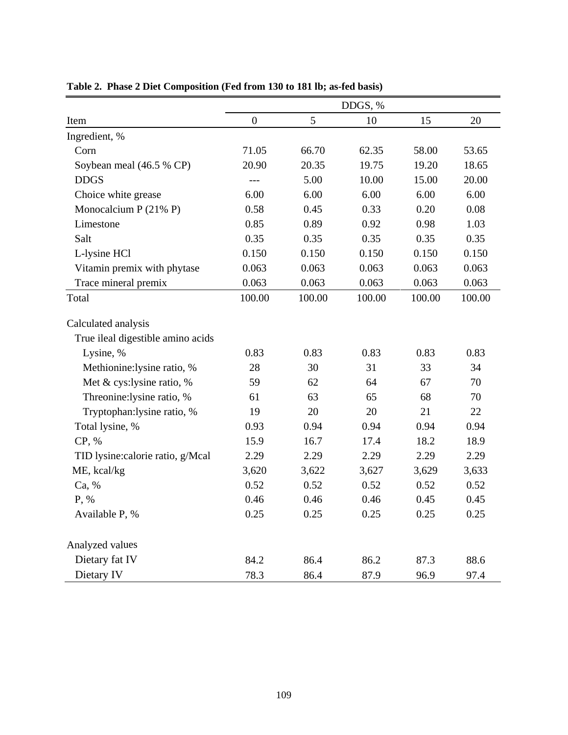|                                   | DDGS, %          |                |        |        |        |  |  |  |  |
|-----------------------------------|------------------|----------------|--------|--------|--------|--|--|--|--|
| Item                              | $\boldsymbol{0}$ | $\mathfrak{S}$ | 10     | 15     | 20     |  |  |  |  |
| Ingredient, %                     |                  |                |        |        |        |  |  |  |  |
| Corn                              | 71.05            | 66.70          | 62.35  | 58.00  | 53.65  |  |  |  |  |
| Soybean meal (46.5 % CP)          | 20.90            | 20.35          | 19.75  | 19.20  | 18.65  |  |  |  |  |
| <b>DDGS</b>                       | $---$            | 5.00           | 10.00  | 15.00  | 20.00  |  |  |  |  |
| Choice white grease               | 6.00             | 6.00           | 6.00   | 6.00   | 6.00   |  |  |  |  |
| Monocalcium P (21% P)             | 0.58             | 0.45           | 0.33   | 0.20   | 0.08   |  |  |  |  |
| Limestone                         | 0.85             | 0.89           | 0.92   | 0.98   | 1.03   |  |  |  |  |
| Salt                              | 0.35             | 0.35           | 0.35   | 0.35   | 0.35   |  |  |  |  |
| L-lysine HCl                      | 0.150            | 0.150          | 0.150  | 0.150  | 0.150  |  |  |  |  |
| Vitamin premix with phytase       | 0.063            | 0.063          | 0.063  | 0.063  | 0.063  |  |  |  |  |
| Trace mineral premix              | 0.063            | 0.063          | 0.063  | 0.063  | 0.063  |  |  |  |  |
| Total                             | 100.00           | 100.00         | 100.00 | 100.00 | 100.00 |  |  |  |  |
| Calculated analysis               |                  |                |        |        |        |  |  |  |  |
| True ileal digestible amino acids |                  |                |        |        |        |  |  |  |  |
| Lysine, %                         | 0.83             | 0.83           | 0.83   | 0.83   | 0.83   |  |  |  |  |
| Methionine:lysine ratio, %        | 28               | 30             |        | 33     | 34     |  |  |  |  |
| Met & cys:lysine ratio, %         | 59               | 62<br>64       |        | 67     | 70     |  |  |  |  |
| Threonine:lysine ratio, %         | 61               | 63             | 65     | 68     | 70     |  |  |  |  |
| Tryptophan: lysine ratio, %       | 19               | 20             | 20     | 21     | 22     |  |  |  |  |
| Total lysine, %                   | 0.93             | 0.94           | 0.94   | 0.94   | 0.94   |  |  |  |  |
| CP, %                             | 15.9             | 16.7           | 17.4   | 18.2   | 18.9   |  |  |  |  |
| TID lysine:calorie ratio, g/Mcal  | 2.29             | 2.29           | 2.29   | 2.29   | 2.29   |  |  |  |  |
| ME, kcal/kg                       | 3,620            | 3,622          | 3,627  | 3,629  | 3,633  |  |  |  |  |
| Ca, %                             | 0.52             | 0.52           | 0.52   | 0.52   | 0.52   |  |  |  |  |
| P, %                              | 0.46             | 0.46           | 0.46   | 0.45   | 0.45   |  |  |  |  |
| Available P, %                    | 0.25             | 0.25           | 0.25   | 0.25   | 0.25   |  |  |  |  |
| Analyzed values                   |                  |                |        |        |        |  |  |  |  |
| Dietary fat IV                    | 84.2             | 86.4           | 86.2   | 87.3   | 88.6   |  |  |  |  |
| Dietary IV                        | 78.3             | 86.4           | 87.9   | 96.9   | 97.4   |  |  |  |  |

**Table 2. Phase 2 Diet Composition (Fed from 130 to 181 lb; as-fed basis)**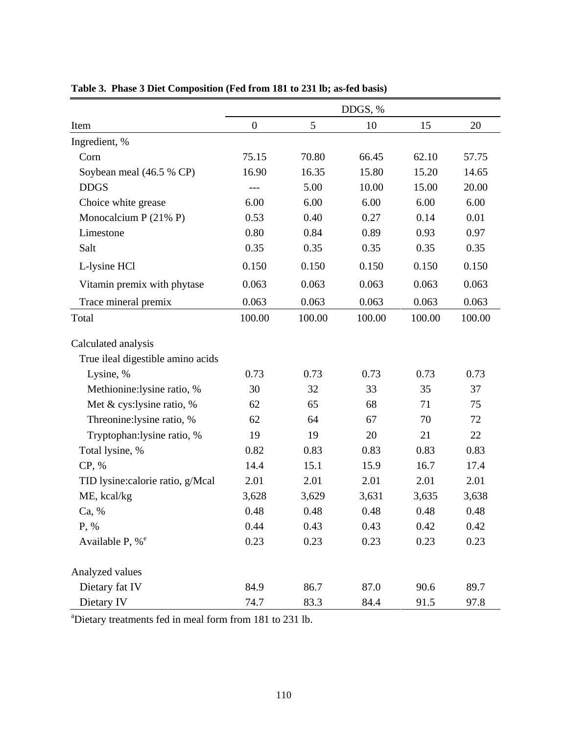|                                   | DDGS, %          |        |        |        |        |  |  |  |  |
|-----------------------------------|------------------|--------|--------|--------|--------|--|--|--|--|
| Item                              | $\boldsymbol{0}$ | 5      | 10     | 15     | 20     |  |  |  |  |
| Ingredient, %                     |                  |        |        |        |        |  |  |  |  |
| Corn                              | 75.15            | 70.80  | 66.45  | 62.10  | 57.75  |  |  |  |  |
| Soybean meal (46.5 % CP)          | 16.90            | 16.35  | 15.80  | 15.20  | 14.65  |  |  |  |  |
| <b>DDGS</b>                       | $---$            | 5.00   | 10.00  | 15.00  | 20.00  |  |  |  |  |
| Choice white grease               | 6.00             | 6.00   | 6.00   | 6.00   | 6.00   |  |  |  |  |
| Monocalcium P $(21\% P)$          | 0.53             | 0.40   | 0.27   | 0.14   | 0.01   |  |  |  |  |
| Limestone                         | 0.80             | 0.84   | 0.89   | 0.93   | 0.97   |  |  |  |  |
| Salt                              | 0.35             | 0.35   | 0.35   | 0.35   | 0.35   |  |  |  |  |
| L-lysine HCl                      | 0.150            | 0.150  | 0.150  | 0.150  | 0.150  |  |  |  |  |
| Vitamin premix with phytase       | 0.063            | 0.063  | 0.063  | 0.063  | 0.063  |  |  |  |  |
| Trace mineral premix              | 0.063            | 0.063  | 0.063  | 0.063  | 0.063  |  |  |  |  |
| Total                             | 100.00           | 100.00 | 100.00 | 100.00 | 100.00 |  |  |  |  |
| Calculated analysis               |                  |        |        |        |        |  |  |  |  |
| True ileal digestible amino acids |                  |        |        |        |        |  |  |  |  |
| Lysine, %                         | 0.73             | 0.73   | 0.73   | 0.73   | 0.73   |  |  |  |  |
| Methionine:lysine ratio, %        | 30               | 32     | 33     | 35     | 37     |  |  |  |  |
| Met & cys:lysine ratio, %         | 62               | 65     | 68     | 71     | 75     |  |  |  |  |
| Threonine:lysine ratio, %         | 62               | 64     | 67     | 70     | 72     |  |  |  |  |
| Tryptophan: lysine ratio, %       | 19               | 19     | 20     | 21     | 22     |  |  |  |  |
| Total lysine, %                   | 0.82             | 0.83   | 0.83   | 0.83   | 0.83   |  |  |  |  |
| CP, %                             | 14.4             | 15.1   | 15.9   | 16.7   | 17.4   |  |  |  |  |
| TID lysine: calorie ratio, g/Mcal | 2.01             | 2.01   | 2.01   | 2.01   | 2.01   |  |  |  |  |
| ME, kcal/kg                       | 3,628            | 3,629  | 3,631  | 3,635  | 3,638  |  |  |  |  |
| Ca, %                             | 0.48             | 0.48   | 0.48   | 0.48   | 0.48   |  |  |  |  |
| P, %                              | 0.44             | 0.43   | 0.43   | 0.42   | 0.42   |  |  |  |  |
| Available P, % <sup>e</sup>       | 0.23             | 0.23   | 0.23   | 0.23   | 0.23   |  |  |  |  |
| Analyzed values                   |                  |        |        |        |        |  |  |  |  |
| Dietary fat IV                    | 84.9             | 86.7   | 87.0   | 90.6   | 89.7   |  |  |  |  |
| Dietary IV                        | 74.7             | 83.3   | 84.4   | 91.5   | 97.8   |  |  |  |  |

**Table 3. Phase 3 Diet Composition (Fed from 181 to 231 lb; as-fed basis)** 

a Dietary treatments fed in meal form from 181 to 231 lb.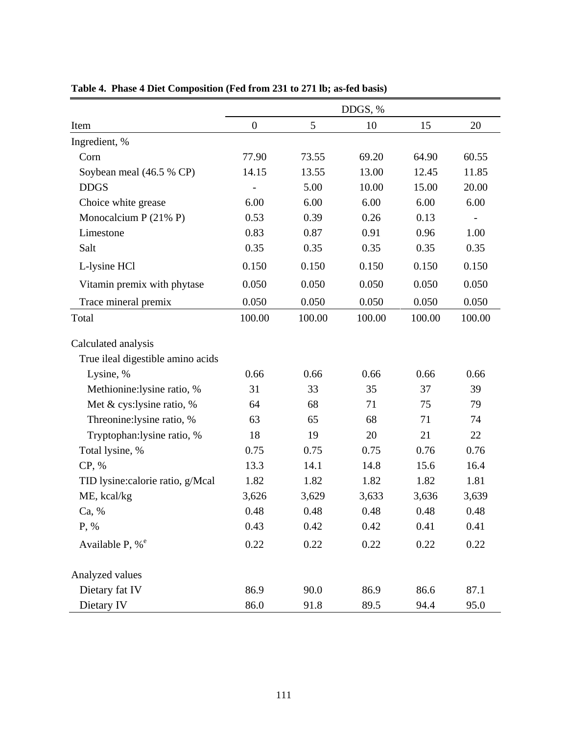|                                   |                  |        | DDGS, % |        |        |
|-----------------------------------|------------------|--------|---------|--------|--------|
| Item                              | $\boldsymbol{0}$ | 5      | 10      | 15     | 20     |
| Ingredient, %                     |                  |        |         |        |        |
| Corn                              | 77.90            | 73.55  | 69.20   | 64.90  | 60.55  |
| Soybean meal (46.5 % CP)          | 14.15            | 13.55  | 13.00   | 12.45  | 11.85  |
| <b>DDGS</b>                       |                  | 5.00   | 10.00   | 15.00  | 20.00  |
| Choice white grease               | 6.00             | 6.00   | 6.00    | 6.00   | 6.00   |
| Monocalcium P $(21\% P)$          | 0.53             | 0.39   | 0.26    | 0.13   |        |
| Limestone                         | 0.83             | 0.87   | 0.91    | 0.96   | 1.00   |
| Salt                              | 0.35             | 0.35   | 0.35    | 0.35   | 0.35   |
| L-lysine HCl                      | 0.150            | 0.150  | 0.150   | 0.150  | 0.150  |
| Vitamin premix with phytase       | 0.050            | 0.050  | 0.050   | 0.050  | 0.050  |
| Trace mineral premix              | 0.050            | 0.050  | 0.050   | 0.050  | 0.050  |
| Total                             | 100.00           | 100.00 | 100.00  | 100.00 | 100.00 |
| Calculated analysis               |                  |        |         |        |        |
| True ileal digestible amino acids |                  |        |         |        |        |
| Lysine, %                         | 0.66             | 0.66   | 0.66    | 0.66   | 0.66   |
| Methionine:lysine ratio, %        | 31               | 33     | 35      | 37     | 39     |
| Met & cys:lysine ratio, %         | 64               | 68     | 71      | 75     | 79     |
| Threonine:lysine ratio, %         | 63               | 65     | 68      | 71     | 74     |
| Tryptophan:lysine ratio, %        | 18               | 19     | 20      | 21     | 22     |
| Total lysine, %                   | 0.75             | 0.75   | 0.75    | 0.76   | 0.76   |
| CP, %                             | 13.3             | 14.1   | 14.8    | 15.6   | 16.4   |
| TID lysine: calorie ratio, g/Mcal | 1.82             | 1.82   | 1.82    | 1.82   | 1.81   |
| ME, kcal/kg                       | 3,626            | 3,629  | 3,633   | 3,636  | 3,639  |
| Ca, %                             | 0.48             | 0.48   | 0.48    | 0.48   | 0.48   |
| P, %                              | 0.43             | 0.42   | 0.42    | 0.41   | 0.41   |
| Available P, % <sup>e</sup>       | 0.22             | 0.22   | 0.22    | 0.22   | 0.22   |
| Analyzed values                   |                  |        |         |        |        |
| Dietary fat IV                    | 86.9             | 90.0   | 86.9    | 86.6   | 87.1   |
| Dietary IV                        | 86.0             | 91.8   | 89.5    | 94.4   | 95.0   |

**Table 4. Phase 4 Diet Composition (Fed from 231 to 271 lb; as-fed basis)**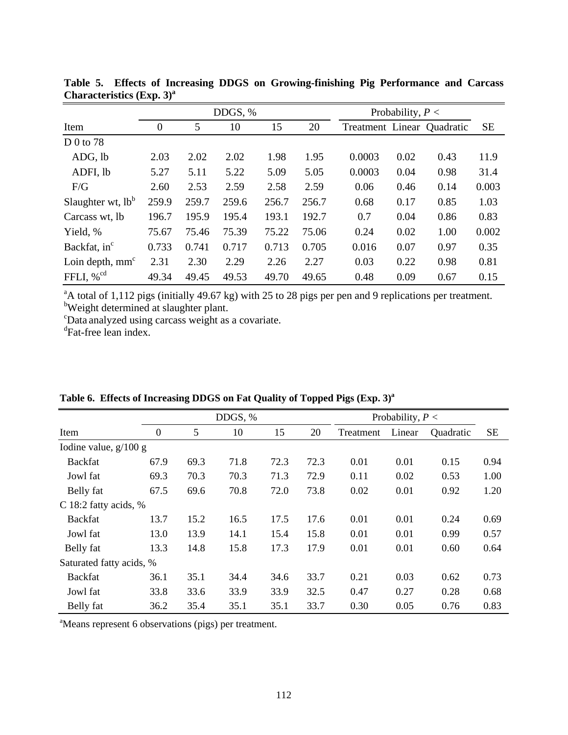|                          |                  |       | DDGS, % |       |       | Probability, $P <$         |      |      |           |
|--------------------------|------------------|-------|---------|-------|-------|----------------------------|------|------|-----------|
| Item                     | $\boldsymbol{0}$ | 5     | 10      | 15    | 20    | Treatment Linear Quadratic |      |      | <b>SE</b> |
| D 0 to 78                |                  |       |         |       |       |                            |      |      |           |
| ADG, lb                  | 2.03             | 2.02  | 2.02    | 1.98  | 1.95  | 0.0003                     | 0.02 | 0.43 | 11.9      |
| ADFI, lb                 | 5.27             | 5.11  | 5.22    | 5.09  | 5.05  | 0.0003                     | 0.04 | 0.98 | 31.4      |
| F/G                      | 2.60             | 2.53  | 2.59    | 2.58  | 2.59  | 0.06                       | 0.46 | 0.14 | 0.003     |
| Slaughter wt, $lb^b$     | 259.9            | 259.7 | 259.6   | 256.7 | 256.7 | 0.68                       | 0.17 | 0.85 | 1.03      |
| Carcass wt, lb           | 196.7            | 195.9 | 195.4   | 193.1 | 192.7 | 0.7                        | 0.04 | 0.86 | 0.83      |
| Yield, %                 | 75.67            | 75.46 | 75.39   | 75.22 | 75.06 | 0.24                       | 0.02 | 1.00 | 0.002     |
| Backfat, in <sup>c</sup> | 0.733            | 0.741 | 0.717   | 0.713 | 0.705 | 0.016                      | 0.07 | 0.97 | 0.35      |
| Loin depth, $mmc$        | 2.31             | 2.30  | 2.29    | 2.26  | 2.27  | 0.03                       | 0.22 | 0.98 | 0.81      |
| FFLI, $\%$ <sup>cd</sup> | 49.34            | 49.45 | 49.53   | 49.70 | 49.65 | 0.48                       | 0.09 | 0.67 | 0.15      |

**Table 5. Effects of Increasing DDGS on Growing-finishing Pig Performance and Carcass Characteristics (Exp. 3)a**

<sup>a</sup>A total of 1,112 pigs (initially 49.67 kg) with 25 to 28 pigs per pen and 9 replications per treatment.<br><sup>b</sup>Weight determined at slaughter plant.

c Data analyzed using carcass weight as a covariate.

d Fat-free lean index.

|                          |          |      | DDGS, % |      | Probability, $P <$ |                     |      |           |           |
|--------------------------|----------|------|---------|------|--------------------|---------------------|------|-----------|-----------|
| Item                     | $\theta$ | 5    | 10      | 15   | 20                 | Linear<br>Treatment |      | Quadratic | <b>SE</b> |
| Iodine value, $g/100 g$  |          |      |         |      |                    |                     |      |           |           |
| <b>Backfat</b>           | 67.9     | 69.3 | 71.8    | 72.3 | 72.3               | 0.01                | 0.01 | 0.15      | 0.94      |
| Jowl fat                 | 69.3     | 70.3 | 70.3    | 71.3 | 72.9               | 0.11                | 0.02 | 0.53      | 1.00      |
| Belly fat                | 67.5     | 69.6 | 70.8    | 72.0 | 73.8               | 0.02                | 0.01 | 0.92      | 1.20      |
| C 18:2 fatty acids, %    |          |      |         |      |                    |                     |      |           |           |
| <b>Backfat</b>           | 13.7     | 15.2 | 16.5    | 17.5 | 17.6               | 0.01                | 0.01 | 0.24      | 0.69      |
| Jowl fat                 | 13.0     | 13.9 | 14.1    | 15.4 | 15.8               | 0.01                | 0.01 | 0.99      | 0.57      |
| Belly fat                | 13.3     | 14.8 | 15.8    | 17.3 | 17.9               | 0.01                | 0.01 | 0.60      | 0.64      |
| Saturated fatty acids, % |          |      |         |      |                    |                     |      |           |           |
| <b>Backfat</b>           | 36.1     | 35.1 | 34.4    | 34.6 | 33.7               | 0.21                | 0.03 | 0.62      | 0.73      |
| Jowl fat                 | 33.8     | 33.6 | 33.9    | 33.9 | 32.5               | 0.47                | 0.27 | 0.28      | 0.68      |
| Belly fat                | 36.2     | 35.4 | 35.1    | 35.1 | 33.7               | 0.30                | 0.05 | 0.76      | 0.83      |

Table 6. Effects of Increasing DDGS on Fat Quality of Topped Pigs (Exp. 3)<sup>a</sup>

a Means represent 6 observations (pigs) per treatment.